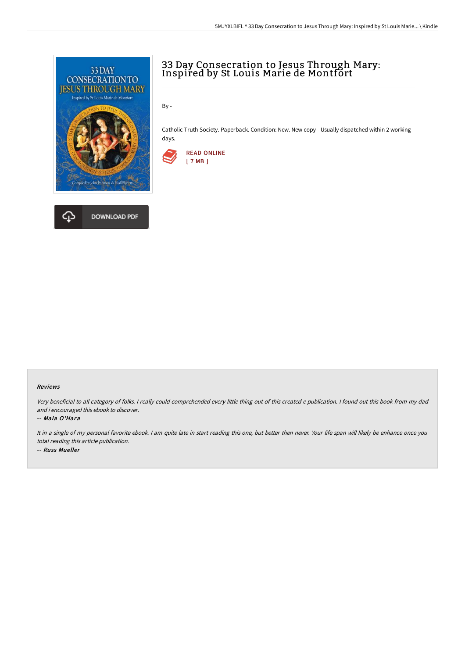

## ረ፲ **DOWNLOAD PDF**

# 33 Day Consecration to Jesus Through Mary: Inspired by St Louis Marie de Montfort

By -

Catholic Truth Society. Paperback. Condition: New. New copy - Usually dispatched within 2 working days.



#### Reviews

Very beneficial to all category of folks. <sup>I</sup> really could comprehended every little thing out of this created <sup>e</sup> publication. <sup>I</sup> found out this book from my dad and i encouraged this ebook to discover.

#### -- Maia O'Hara

It in a single of my personal favorite ebook. I am quite late in start reading this one, but better then never. Your life span will likely be enhance once you total reading this article publication. -- Russ Mueller